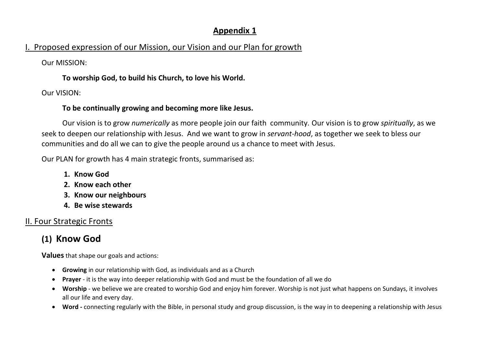## Appendix 1

## I. Proposed expression of our Mission, our Vision and our Plan for growth

Our MISSION:

To worship God, to build his Church, to love his World.

Our VISION:

#### To be continually growing and becoming more like Jesus.

 Our vision is to grow numerically as more people join our faith community. Our vision is to grow spiritually, as we seek to deepen our relationship with Jesus. And we want to grow in servant-hood, as together we seek to bless our communities and do all we can to give the people around us a chance to meet with Jesus.

Our PLAN for growth has 4 main strategic fronts, summarised as:

- 1. Know God
- 2. Know each other
- 3. Know our neighbours
- 4. Be wise stewards

## II. Four Strategic Fronts

# (1) Know God

- Growing in our relationship with God, as individuals and as a Church
- Prayer it is the way into deeper relationship with God and must be the foundation of all we do
- Worship we believe we are created to worship God and enjoy him forever. Worship is not just what happens on Sundays, it involves all our life and every day.
- Word connecting regularly with the Bible, in personal study and group discussion, is the way in to deepening a relationship with Jesus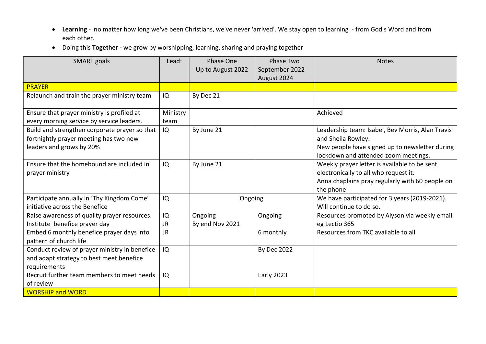- Learning no matter how long we've been Christians, we've never 'arrived'. We stay open to learning from God's Word and from each other.
- Doing this Together we grow by worshipping, learning, sharing and praying together

| <b>SMART</b> goals                                                                                                                  | Lead:                        | Phase One<br>Up to August 2022 | Phase Two<br>September 2022-<br>August 2024 | <b>Notes</b>                                                                                                                                                     |
|-------------------------------------------------------------------------------------------------------------------------------------|------------------------------|--------------------------------|---------------------------------------------|------------------------------------------------------------------------------------------------------------------------------------------------------------------|
| <b>PRAYER</b>                                                                                                                       |                              |                                |                                             |                                                                                                                                                                  |
| Relaunch and train the prayer ministry team                                                                                         | IQ                           | By Dec 21                      |                                             |                                                                                                                                                                  |
| Ensure that prayer ministry is profiled at<br>every morning service by service leaders.                                             | Ministry<br>team             |                                |                                             | Achieved                                                                                                                                                         |
| Build and strengthen corporate prayer so that<br>fortnightly prayer meeting has two new<br>leaders and grows by 20%                 | IQ                           | By June 21                     |                                             | Leadership team: Isabel, Bev Morris, Alan Travis<br>and Sheila Rowley.<br>New people have signed up to newsletter during<br>lockdown and attended zoom meetings. |
| Ensure that the homebound are included in<br>prayer ministry                                                                        | IQ                           | By June 21                     |                                             | Weekly prayer letter is available to be sent<br>electronically to all who request it.<br>Anna chaplains pray regularly with 60 people on<br>the phone            |
| Participate annually in 'Thy Kingdom Come'<br>initiative across the Benefice                                                        | IQ                           | Ongoing                        |                                             | We have participated for 3 years (2019-2021).<br>Will continue to do so.                                                                                         |
| Raise awareness of quality prayer resources.<br>Institute benefice prayer day<br>Embed 6 monthly benefice prayer days into          | IQ<br><b>JR</b><br><b>JR</b> | Ongoing<br>By end Nov 2021     | Ongoing<br>6 monthly                        | Resources promoted by Alyson via weekly email<br>eg Lectio 365<br>Resources from TKC available to all                                                            |
| pattern of church life<br>Conduct review of prayer ministry in benefice<br>and adapt strategy to best meet benefice<br>requirements | IQ                           |                                | <b>By Dec 2022</b>                          |                                                                                                                                                                  |
| Recruit further team members to meet needs<br>of review<br><b>WORSHIP and WORD</b>                                                  | IQ                           |                                | <b>Early 2023</b>                           |                                                                                                                                                                  |
|                                                                                                                                     |                              |                                |                                             |                                                                                                                                                                  |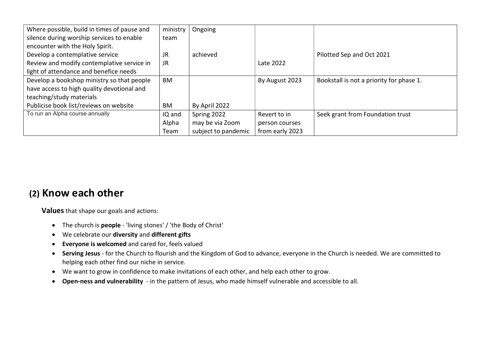| Where possible, build in times of pause and | ministry  | Ongoing             |                 |                                          |
|---------------------------------------------|-----------|---------------------|-----------------|------------------------------------------|
| silence during worship services to enable   | team      |                     |                 |                                          |
| encounter with the Holy Spirit.             |           |                     |                 |                                          |
| Develop a contemplative service             | JR        | achieved            |                 | Pilotted Sep and Oct 2021                |
| Review and modify contemplative service in  | JR.       |                     | Late 2022       |                                          |
| light of attendance and benefice needs      |           |                     |                 |                                          |
| Develop a bookshop ministry so that people  | <b>BM</b> |                     | By August 2023  | Bookstall is not a priority for phase 1. |
| have access to high quality devotional and  |           |                     |                 |                                          |
| teaching/study materials                    |           |                     |                 |                                          |
| Publicise book list/reviews on website      | BM        | By April 2022       |                 |                                          |
| To run an Alpha course annually             | IQ and    | Spring 2022         | Revert to in    | Seek grant from Foundation trust         |
|                                             | Alpha     | may be via Zoom     | person courses  |                                          |
|                                             | Team      | subject to pandemic | from early 2023 |                                          |

# (2) Know each other

- The church is people 'living stones' / 'the Body of Christ'
- We celebrate our diversity and different gifts
- Everyone is welcomed and cared for, feels valued
- Serving Jesus for the Church to flourish and the Kingdom of God to advance, everyone in the Church is needed. We are committed to helping each other find our niche in service.
- We want to grow in confidence to make invitations of each other, and help each other to grow.
- Open-ness and vulnerability in the pattern of Jesus, who made himself vulnerable and accessible to all.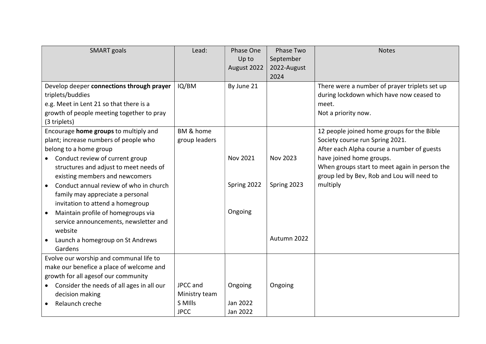| <b>SMART</b> goals                                     | Lead:         | Phase One<br>Up to<br>August 2022 | Phase Two<br>September<br>2022-August | <b>Notes</b>                                  |
|--------------------------------------------------------|---------------|-----------------------------------|---------------------------------------|-----------------------------------------------|
|                                                        |               |                                   | 2024                                  |                                               |
| Develop deeper connections through prayer              | IQ/BM         | By June 21                        |                                       | There were a number of prayer triplets set up |
| triplets/buddies                                       |               |                                   |                                       | during lockdown which have now ceased to      |
| e.g. Meet in Lent 21 so that there is a                |               |                                   |                                       | meet.                                         |
| growth of people meeting together to pray              |               |                                   |                                       | Not a priority now.                           |
| (3 triplets)                                           |               |                                   |                                       |                                               |
| Encourage home groups to multiply and                  | BM & home     |                                   |                                       | 12 people joined home groups for the Bible    |
| plant; increase numbers of people who                  | group leaders |                                   |                                       | Society course run Spring 2021.               |
| belong to a home group                                 |               |                                   |                                       | After each Alpha course a number of guests    |
| Conduct review of current group<br>$\bullet$           |               | Nov 2021                          | Nov 2023                              | have joined home groups.                      |
| structures and adjust to meet needs of                 |               |                                   |                                       | When groups start to meet again in person the |
| existing members and newcomers                         |               |                                   |                                       | group led by Bev, Rob and Lou will need to    |
| Conduct annual review of who in church<br>$\bullet$    |               | Spring 2022                       | Spring 2023                           | multiply                                      |
| family may appreciate a personal                       |               |                                   |                                       |                                               |
| invitation to attend a homegroup                       |               |                                   |                                       |                                               |
| Maintain profile of homegroups via                     |               | Ongoing                           |                                       |                                               |
| service announcements, newsletter and                  |               |                                   |                                       |                                               |
| website                                                |               |                                   |                                       |                                               |
| Launch a homegroup on St Andrews                       |               |                                   | Autumn 2022                           |                                               |
| Gardens                                                |               |                                   |                                       |                                               |
| Evolve our worship and communal life to                |               |                                   |                                       |                                               |
| make our benefice a place of welcome and               |               |                                   |                                       |                                               |
| growth for all agesof our community                    |               |                                   |                                       |                                               |
| Consider the needs of all ages in all our<br>$\bullet$ | JPCC and      | Ongoing                           | Ongoing                               |                                               |
| decision making                                        | Ministry team |                                   |                                       |                                               |
| Relaunch creche                                        | S MIlls       | Jan 2022                          |                                       |                                               |
|                                                        | <b>JPCC</b>   | Jan 2022                          |                                       |                                               |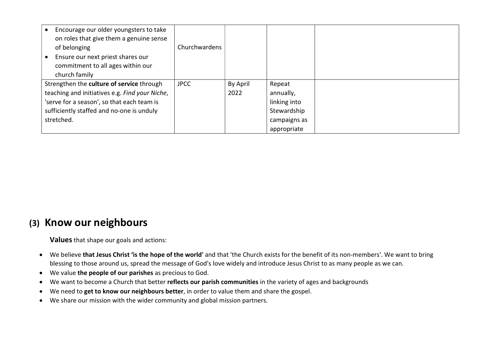| Encourage our older youngsters to take<br>on roles that give them a genuine sense<br>of belonging<br>Ensure our next priest shares our<br>commitment to all ages within our<br>church family | Churchwardens |          |              |  |
|----------------------------------------------------------------------------------------------------------------------------------------------------------------------------------------------|---------------|----------|--------------|--|
| Strengthen the culture of service through                                                                                                                                                    | <b>JPCC</b>   | By April | Repeat       |  |
| teaching and initiatives e.g. Find your Niche,                                                                                                                                               |               | 2022     | annually,    |  |
| 'serve for a season', so that each team is                                                                                                                                                   |               |          | linking into |  |
| sufficiently staffed and no-one is unduly                                                                                                                                                    |               |          | Stewardship  |  |
| stretched.                                                                                                                                                                                   |               |          | campaigns as |  |
|                                                                                                                                                                                              |               |          | appropriate  |  |

## (3) Know our neighbours

- We believe that Jesus Christ 'is the hope of the world' and that 'the Church exists for the benefit of its non-members'. We want to bring blessing to those around us, spread the message of God's love widely and introduce Jesus Christ to as many people as we can.
- We value the people of our parishes as precious to God.
- We want to become a Church that better reflects our parish communities in the variety of ages and backgrounds
- We need to get to know our neighbours better, in order to value them and share the gospel.
- We share our mission with the wider community and global mission partners.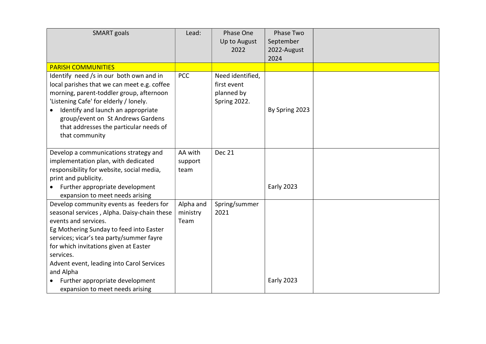| <b>SMART</b> goals                                                                                                                                                                                                                                                                                                                                                                          | Lead:                         | Phase One<br>Up to August<br>2022                             | Phase Two<br>September<br>2022-August<br>2024 |  |
|---------------------------------------------------------------------------------------------------------------------------------------------------------------------------------------------------------------------------------------------------------------------------------------------------------------------------------------------------------------------------------------------|-------------------------------|---------------------------------------------------------------|-----------------------------------------------|--|
| <b>PARISH COMMUNITIES</b>                                                                                                                                                                                                                                                                                                                                                                   |                               |                                                               |                                               |  |
| Identify need /s in our both own and in<br>local parishes that we can meet e.g. coffee<br>morning, parent-toddler group, afternoon<br>'Listening Cafe' for elderly / lonely.<br>Identify and launch an appropriate<br>group/event on St Andrews Gardens<br>that addresses the particular needs of<br>that community                                                                         | <b>PCC</b>                    | Need identified,<br>first event<br>planned by<br>Spring 2022. | By Spring 2023                                |  |
| Develop a communications strategy and<br>implementation plan, with dedicated<br>responsibility for website, social media,<br>print and publicity.<br>Further appropriate development<br>expansion to meet needs arising                                                                                                                                                                     | AA with<br>support<br>team    | <b>Dec 21</b>                                                 | <b>Early 2023</b>                             |  |
| Develop community events as feeders for<br>seasonal services, Alpha. Daisy-chain these<br>events and services.<br>Eg Mothering Sunday to feed into Easter<br>services; vicar's tea party/summer fayre<br>for which invitations given at Easter<br>services.<br>Advent event, leading into Carol Services<br>and Alpha<br>Further appropriate development<br>expansion to meet needs arising | Alpha and<br>ministry<br>Team | Spring/summer<br>2021                                         | <b>Early 2023</b>                             |  |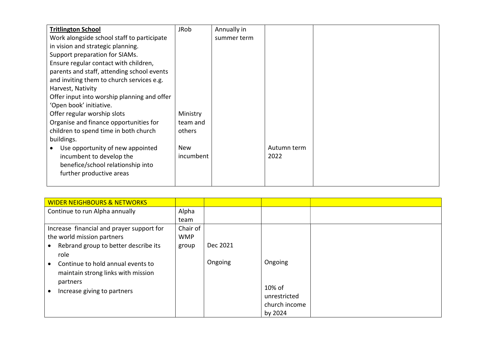| <b>Tritlington School</b>                   | <b>JRob</b> | Annually in |             |  |
|---------------------------------------------|-------------|-------------|-------------|--|
| Work alongside school staff to participate  |             | summer term |             |  |
| in vision and strategic planning.           |             |             |             |  |
| Support preparation for SIAMs.              |             |             |             |  |
| Ensure regular contact with children,       |             |             |             |  |
| parents and staff, attending school events  |             |             |             |  |
| and inviting them to church services e.g.   |             |             |             |  |
| Harvest, Nativity                           |             |             |             |  |
| Offer input into worship planning and offer |             |             |             |  |
| 'Open book' initiative.                     |             |             |             |  |
| Offer regular worship slots                 | Ministry    |             |             |  |
| Organise and finance opportunities for      | team and    |             |             |  |
| children to spend time in both church       | others      |             |             |  |
| buildings.                                  |             |             |             |  |
| Use opportunity of new appointed            | <b>New</b>  |             | Autumn term |  |
| incumbent to develop the                    | incumbent   |             | 2022        |  |
| benefice/school relationship into           |             |             |             |  |
| further productive areas                    |             |             |             |  |
|                                             |             |             |             |  |

| <b>WIDER NEIGHBOURS &amp; NETWORKS</b>    |            |          |               |  |
|-------------------------------------------|------------|----------|---------------|--|
| Continue to run Alpha annually            | Alpha      |          |               |  |
|                                           | team       |          |               |  |
| Increase financial and prayer support for | Chair of   |          |               |  |
| the world mission partners                | <b>WMP</b> |          |               |  |
| Rebrand group to better describe its      | group      | Dec 2021 |               |  |
| role                                      |            |          |               |  |
| Continue to hold annual events to         |            | Ongoing  | Ongoing       |  |
| maintain strong links with mission        |            |          |               |  |
| partners                                  |            |          |               |  |
| Increase giving to partners               |            |          | 10% of        |  |
|                                           |            |          | unrestricted  |  |
|                                           |            |          | church income |  |
|                                           |            |          | by 2024       |  |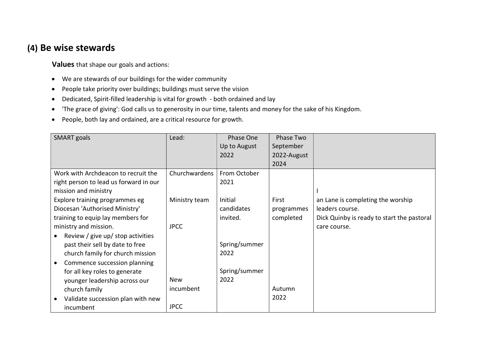## (4) Be wise stewards

- We are stewards of our buildings for the wider community
- People take priority over buildings; buildings must serve the vision
- Dedicated, Spirit-filled leadership is vital for growth both ordained and lay
- 'The grace of giving': God calls us to generosity in our time, talents and money for the sake of his Kingdom.
- People, both lay and ordained, are a critical resource for growth.

| <b>SMART</b> goals                        | Lead:         | Phase One     | Phase Two   |                                            |
|-------------------------------------------|---------------|---------------|-------------|--------------------------------------------|
|                                           |               | Up to August  | September   |                                            |
|                                           |               | 2022          | 2022-August |                                            |
|                                           |               |               | 2024        |                                            |
| Work with Archdeacon to recruit the       | Churchwardens | From October  |             |                                            |
| right person to lead us forward in our    |               | 2021          |             |                                            |
| mission and ministry                      |               |               |             |                                            |
| Explore training programmes eg            | Ministry team | Initial       | First       | an Lane is completing the worship          |
| Diocesan 'Authorised Ministry'            |               | candidates    | programmes  | leaders course.                            |
| training to equip lay members for         |               | invited.      | completed   | Dick Quinby is ready to start the pastoral |
| ministry and mission.                     | <b>JPCC</b>   |               |             | care course.                               |
| Review / give up/ stop activities         |               |               |             |                                            |
| past their sell by date to free           |               | Spring/summer |             |                                            |
| church family for church mission          |               | 2022          |             |                                            |
| Commence succession planning<br>$\bullet$ |               |               |             |                                            |
| for all key roles to generate             |               | Spring/summer |             |                                            |
| younger leadership across our             | <b>New</b>    | 2022          |             |                                            |
| church family                             | incumbent     |               | Autumn      |                                            |
| Validate succession plan with new         |               |               | 2022        |                                            |
| incumbent                                 | <b>JPCC</b>   |               |             |                                            |